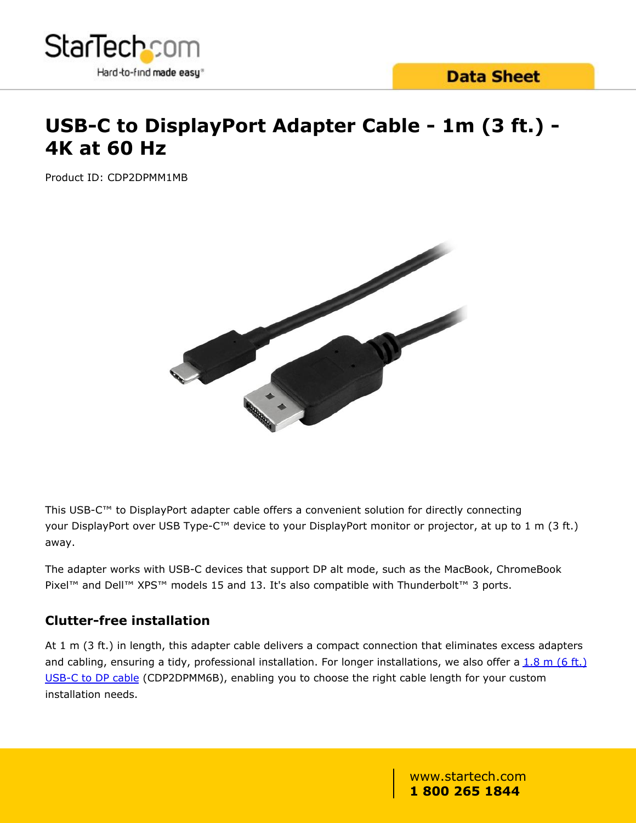

# **USB-C to DisplayPort Adapter Cable - 1m (3 ft.) - 4K at 60 Hz**

Product ID: CDP2DPMM1MB



This USB-C™ to DisplayPort adapter cable offers a convenient solution for directly connecting your DisplayPort over USB Type-C™ device to your DisplayPort monitor or projector, at up to 1 m (3 ft.) away.

The adapter works with USB-C devices that support DP alt mode, such as the MacBook, ChromeBook Pixel™ and Dell™ XPS™ models 15 and 13. It's also compatible with Thunderbolt™ 3 ports.

### **Clutter-free installation**

At 1 m (3 ft.) in length, this adapter cable delivers a compact connection that eliminates excess adapters and cabling, ensuring a tidy, professional installation. For longer installations, we also offer a  $1.8$  m (6 ft.) [USB-C to DP cable](/AV/usb-c-video-adapters/displayport-over-usb-c-to-displayport-adapter~CDP2DPMM6B) (CDP2DPMM6B), enabling you to choose the right cable length for your custom installation needs.

> www.startech.com **1 800 265 1844**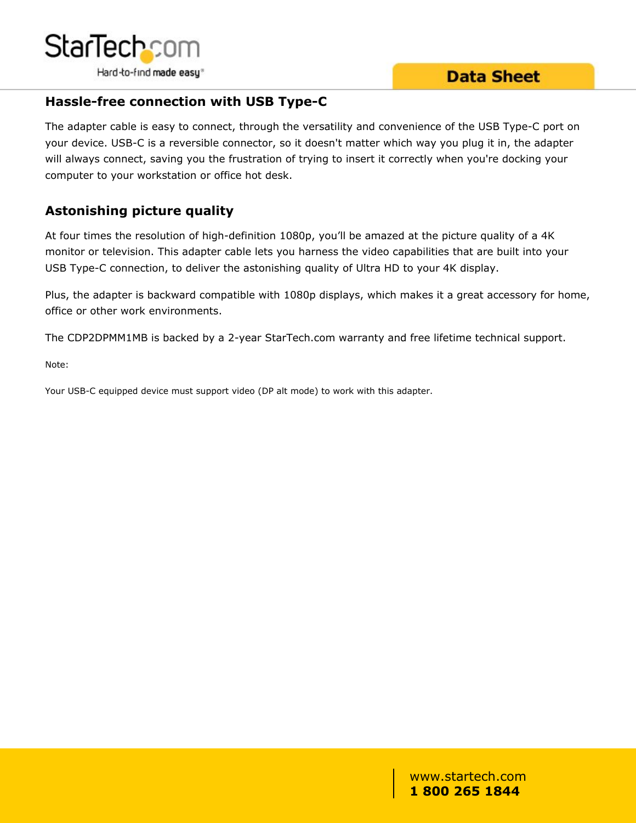

## **Data Sheet**

### **Hassle-free connection with USB Type-C**

The adapter cable is easy to connect, through the versatility and convenience of the USB Type-C port on your device. USB-C is a reversible connector, so it doesn't matter which way you plug it in, the adapter will always connect, saving you the frustration of trying to insert it correctly when you're docking your computer to your workstation or office hot desk.

### **Astonishing picture quality**

At four times the resolution of high-definition 1080p, you'll be amazed at the picture quality of a 4K monitor or television. This adapter cable lets you harness the video capabilities that are built into your USB Type-C connection, to deliver the astonishing quality of Ultra HD to your 4K display.

Plus, the adapter is backward compatible with 1080p displays, which makes it a great accessory for home, office or other work environments.

The CDP2DPMM1MB is backed by a 2-year StarTech.com warranty and free lifetime technical support.

Note:

Your USB-C equipped device must support video (DP alt mode) to work with this adapter.

www.startech.com **1 800 265 1844**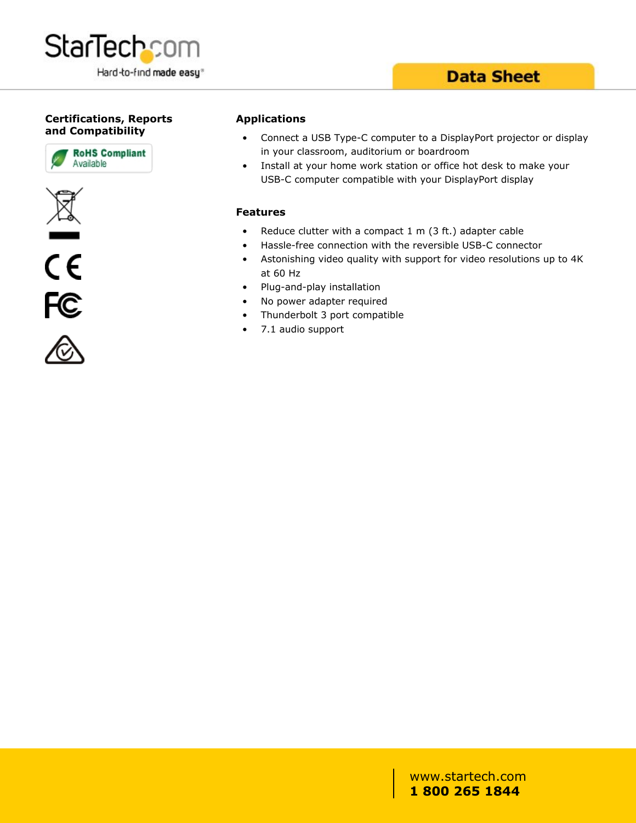

# **Data Sheet**

#### **Certifications, Reports and Compatibility**









#### **Applications**

- Connect a USB Type-C computer to a DisplayPort projector or display in your classroom, auditorium or boardroom
- Install at your home work station or office hot desk to make your USB-C computer compatible with your DisplayPort display

#### **Features**

- Reduce clutter with a compact  $1 \text{ m}$  (3 ft.) adapter cable
- Hassle-free connection with the reversible USB-C connector
- Astonishing video quality with support for video resolutions up to 4K at 60 Hz
- Plug-and-play installation
- No power adapter required
- Thunderbolt 3 port compatible
- 7.1 audio support

#### www.startech.com **1 800 265 1844**